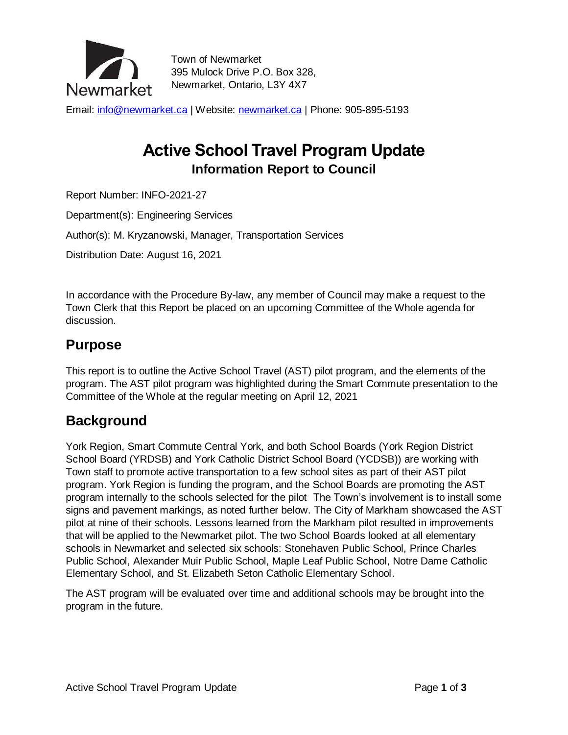

Town of Newmarket 395 Mulock Drive P.O. Box 328, Newmarket, Ontario, L3Y 4X7

Email: [info@newmarket.ca](mailto:info@newmarket.ca?subject=General%20inquiry) | Website: [newmarket.ca](http://www.newmarket.ca/) | Phone: 905-895-5193

# **Active School Travel Program Update Information Report to Council**

Report Number: INFO-2021-27

Department(s): Engineering Services

Author(s): M. Kryzanowski, Manager, Transportation Services

Distribution Date: August 16, 2021

In accordance with the Procedure By-law, any member of Council may make a request to the Town Clerk that this Report be placed on an upcoming Committee of the Whole agenda for discussion.

#### **Purpose**

This report is to outline the Active School Travel (AST) pilot program, and the elements of the program. The AST pilot program was highlighted during the Smart Commute presentation to the Committee of the Whole at the regular meeting on April 12, 2021

#### **Background**

York Region, Smart Commute Central York, and both School Boards (York Region District School Board (YRDSB) and York Catholic District School Board (YCDSB)) are working with Town staff to promote active transportation to a few school sites as part of their AST pilot program. York Region is funding the program, and the School Boards are promoting the AST program internally to the schools selected for the pilot The Town's involvement is to install some signs and pavement markings, as noted further below. The City of Markham showcased the AST pilot at nine of their schools. Lessons learned from the Markham pilot resulted in improvements that will be applied to the Newmarket pilot. The two School Boards looked at all elementary schools in Newmarket and selected six schools: Stonehaven Public School, Prince Charles Public School, Alexander Muir Public School, Maple Leaf Public School, Notre Dame Catholic Elementary School, and St. Elizabeth Seton Catholic Elementary School.

The AST program will be evaluated over time and additional schools may be brought into the program in the future.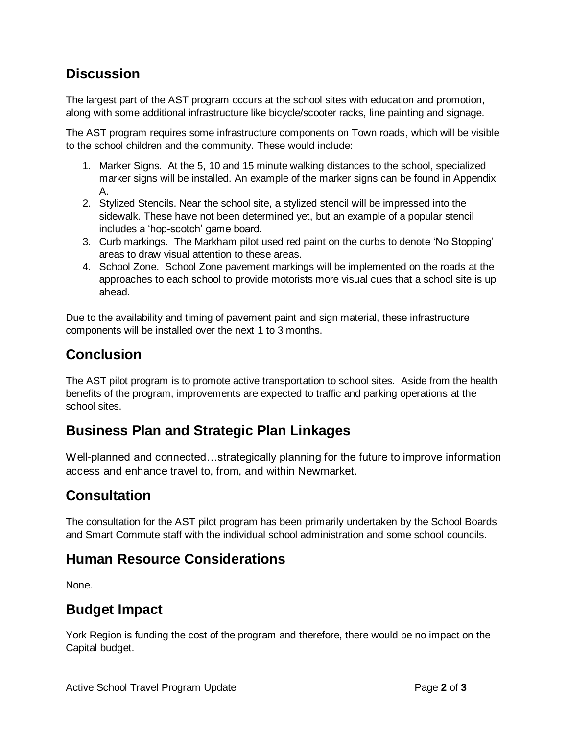## **Discussion**

The largest part of the AST program occurs at the school sites with education and promotion, along with some additional infrastructure like bicycle/scooter racks, line painting and signage.

The AST program requires some infrastructure components on Town roads, which will be visible to the school children and the community. These would include:

- 1. Marker Signs. At the 5, 10 and 15 minute walking distances to the school, specialized marker signs will be installed. An example of the marker signs can be found in Appendix A.
- 2. Stylized Stencils. Near the school site, a stylized stencil will be impressed into the sidewalk. These have not been determined yet, but an example of a popular stencil includes a 'hop-scotch' game board.
- 3. Curb markings. The Markham pilot used red paint on the curbs to denote 'No Stopping' areas to draw visual attention to these areas.
- 4. School Zone. School Zone pavement markings will be implemented on the roads at the approaches to each school to provide motorists more visual cues that a school site is up ahead.

Due to the availability and timing of pavement paint and sign material, these infrastructure components will be installed over the next 1 to 3 months.

#### **Conclusion**

The AST pilot program is to promote active transportation to school sites. Aside from the health benefits of the program, improvements are expected to traffic and parking operations at the school sites.

#### **Business Plan and Strategic Plan Linkages**

Well-planned and connected…strategically planning for the future to improve information access and enhance travel to, from, and within Newmarket.

#### **Consultation**

The consultation for the AST pilot program has been primarily undertaken by the School Boards and Smart Commute staff with the individual school administration and some school councils.

#### **Human Resource Considerations**

None.

#### **Budget Impact**

York Region is funding the cost of the program and therefore, there would be no impact on the Capital budget.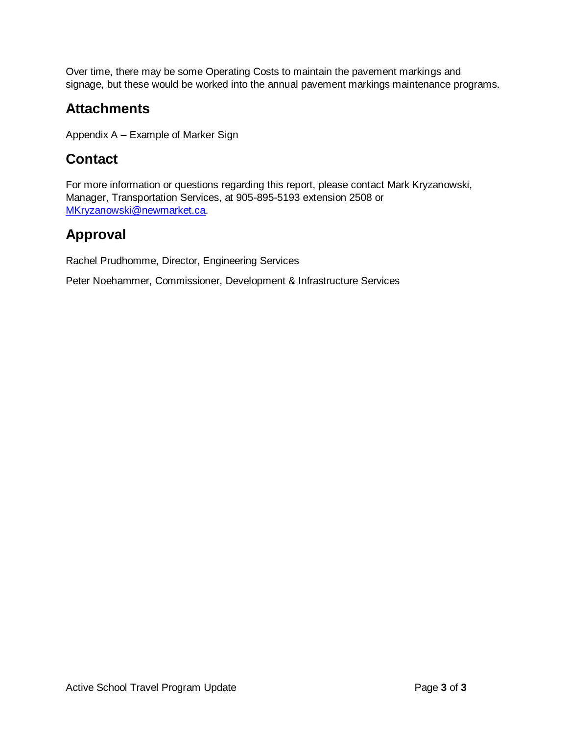Over time, there may be some Operating Costs to maintain the pavement markings and signage, but these would be worked into the annual pavement markings maintenance programs.

### **Attachments**

Appendix A – Example of Marker Sign

## **Contact**

For more information or questions regarding this report, please contact Mark Kryzanowski, Manager, Transportation Services, at 905-895-5193 extension 2508 or [MKryzanowski@newmarket.ca.](mailto:MKryzanowski@newmarket.ca)

## **Approval**

Rachel Prudhomme, Director, Engineering Services

Peter Noehammer, Commissioner, Development & Infrastructure Services